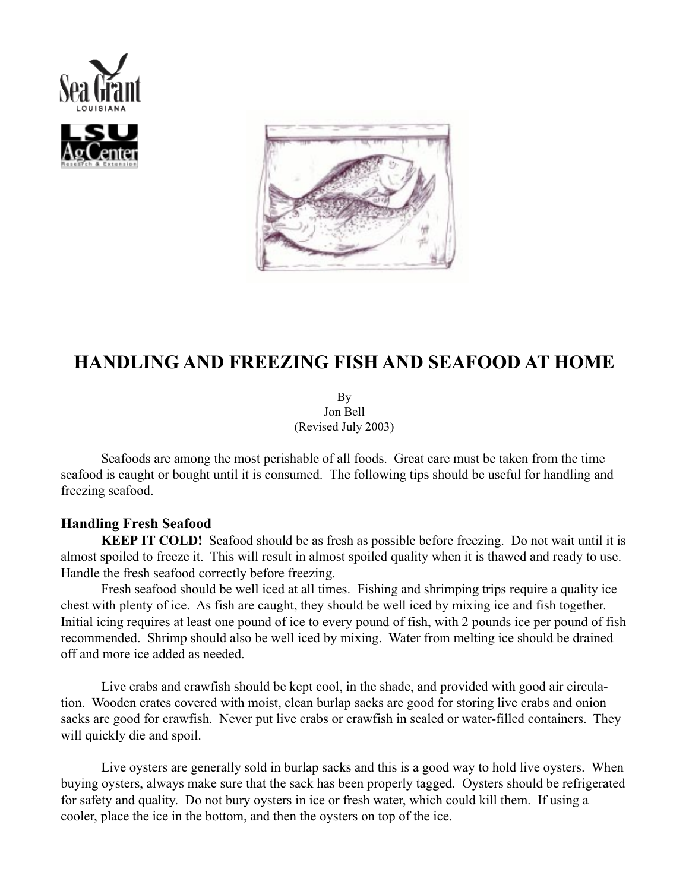



# **HANDLING AND FREEZING FISH AND SEAFOOD AT HOME**

By Jon Bell (Revised July 2003)

Seafoods are among the most perishable of all foods. Great care must be taken from the time seafood is caught or bought until it is consumed. The following tips should be useful for handling and freezing seafood.

## **Handling Fresh Seafood**

**KEEP IT COLD!** Seafood should be as fresh as possible before freezing. Do not wait until it is almost spoiled to freeze it. This will result in almost spoiled quality when it is thawed and ready to use. Handle the fresh seafood correctly before freezing.

Fresh seafood should be well iced at all times. Fishing and shrimping trips require a quality ice chest with plenty of ice. As fish are caught, they should be well iced by mixing ice and fish together. Initial icing requires at least one pound of ice to every pound of fish, with 2 pounds ice per pound of fish recommended. Shrimp should also be well iced by mixing. Water from melting ice should be drained off and more ice added as needed.

Live crabs and crawfish should be kept cool, in the shade, and provided with good air circulation. Wooden crates covered with moist, clean burlap sacks are good for storing live crabs and onion sacks are good for crawfish. Never put live crabs or crawfish in sealed or water-filled containers. They will quickly die and spoil.

Live oysters are generally sold in burlap sacks and this is a good way to hold live oysters. When buying oysters, always make sure that the sack has been properly tagged. Oysters should be refrigerated for safety and quality. Do not bury oysters in ice or fresh water, which could kill them. If using a cooler, place the ice in the bottom, and then the oysters on top of the ice.